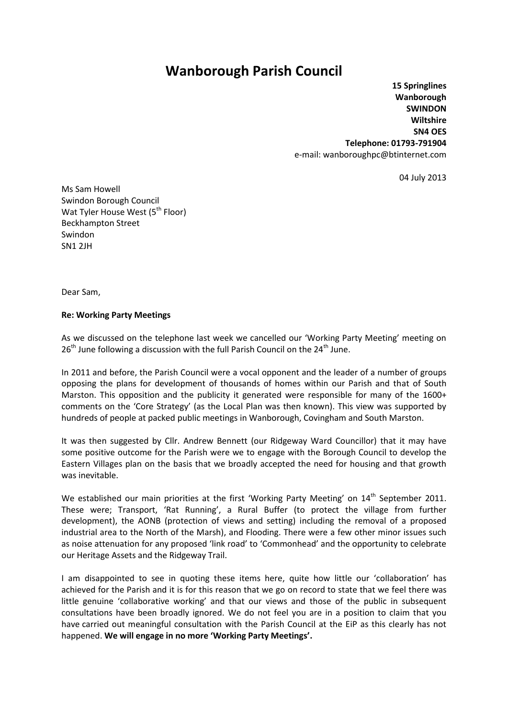## **Wanborough Parish Council**

**15 Springlines Wanborough SWINDON Wiltshire SN4 OES Telephone: 01793-791904** e-mail: wanboroughpc@btinternet.com

04 July 2013

Ms Sam Howell Swindon Borough Council Wat Tyler House West (5<sup>th</sup> Floor) Beckhampton Street Swindon SN1 2JH

Dear Sam,

## **Re: Working Party Meetings**

As we discussed on the telephone last week we cancelled our 'Working Party Meeting' meeting on  $26<sup>th</sup>$  June following a discussion with the full Parish Council on the  $24<sup>th</sup>$  June.

In 2011 and before, the Parish Council were a vocal opponent and the leader of a number of groups opposing the plans for development of thousands of homes within our Parish and that of South Marston. This opposition and the publicity it generated were responsible for many of the 1600+ comments on the 'Core Strategy' (as the Local Plan was then known). This view was supported by hundreds of people at packed public meetings in Wanborough, Covingham and South Marston.

It was then suggested by Cllr. Andrew Bennett (our Ridgeway Ward Councillor) that it may have some positive outcome for the Parish were we to engage with the Borough Council to develop the Eastern Villages plan on the basis that we broadly accepted the need for housing and that growth was inevitable.

We established our main priorities at the first 'Working Party Meeting' on 14<sup>th</sup> September 2011. These were; Transport, 'Rat Running', a Rural Buffer (to protect the village from further development), the AONB (protection of views and setting) including the removal of a proposed industrial area to the North of the Marsh), and Flooding. There were a few other minor issues such as noise attenuation for any proposed 'link road' to 'Commonhead' and the opportunity to celebrate our Heritage Assets and the Ridgeway Trail.

I am disappointed to see in quoting these items here, quite how little our 'collaboration' has achieved for the Parish and it is for this reason that we go on record to state that we feel there was little genuine 'collaborative working' and that our views and those of the public in subsequent consultations have been broadly ignored. We do not feel you are in a position to claim that you have carried out meaningful consultation with the Parish Council at the EiP as this clearly has not happened. **We will engage in no more 'Working Party Meetings'.**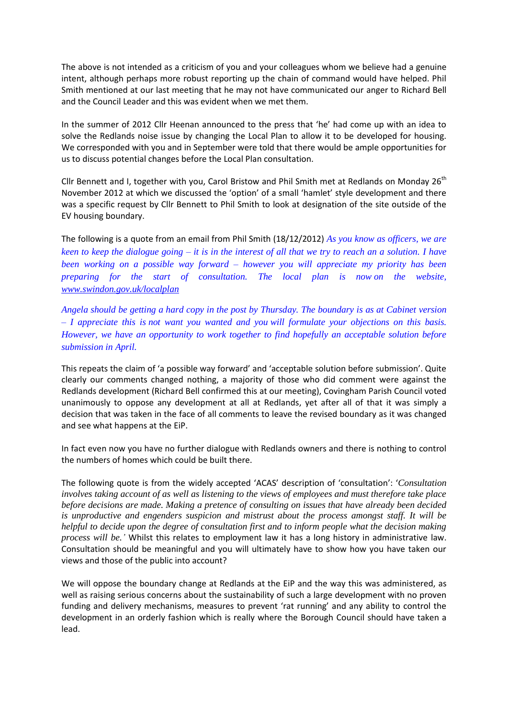The above is not intended as a criticism of you and your colleagues whom we believe had a genuine intent, although perhaps more robust reporting up the chain of command would have helped. Phil Smith mentioned at our last meeting that he may not have communicated our anger to Richard Bell and the Council Leader and this was evident when we met them.

In the summer of 2012 Cllr Heenan announced to the press that 'he' had come up with an idea to solve the Redlands noise issue by changing the Local Plan to allow it to be developed for housing. We corresponded with you and in September were told that there would be ample opportunities for us to discuss potential changes before the Local Plan consultation.

Cllr Bennett and I, together with you, Carol Bristow and Phil Smith met at Redlands on Monday  $26<sup>th</sup>$ November 2012 at which we discussed the 'option' of a small 'hamlet' style development and there was a specific request by Cllr Bennett to Phil Smith to look at designation of the site outside of the EV housing boundary.

The following is a quote from an email from Phil Smith (18/12/2012) *As you know as officers, we are keen to keep the dialogue going – it is in the interest of all that we try to reach an a solution. I have been working on a possible way forward – however you will appreciate my priority has been preparing for the start of consultation. The local plan is now on the website, [www.swindon.gov.uk/localplan](http://www.swindon.gov.uk/localplan)*

*Angela should be getting a hard copy in the post by Thursday. The boundary is as at Cabinet version – I appreciate this is not want you wanted and you will formulate your objections on this basis. However, we have an opportunity to work together to find hopefully an acceptable solution before submission in April.*

This repeats the claim of 'a possible way forward' and 'acceptable solution before submission'. Quite clearly our comments changed nothing, a majority of those who did comment were against the Redlands development (Richard Bell confirmed this at our meeting), Covingham Parish Council voted unanimously to oppose any development at all at Redlands, yet after all of that it was simply a decision that was taken in the face of all comments to leave the revised boundary as it was changed and see what happens at the EiP.

In fact even now you have no further dialogue with Redlands owners and there is nothing to control the numbers of homes which could be built there.

The following quote is from the widely accepted 'ACAS' description of 'consultation': '*Consultation involves taking account of as well as listening to the views of employees and must therefore take place before decisions are made. Making a pretence of consulting on issues that have already been decided is unproductive and engenders suspicion and mistrust about the process amongst staff. It will be helpful to decide upon the degree of consultation first and to inform people what the decision making process will be.'* Whilst this relates to employment law it has a long history in administrative law. Consultation should be meaningful and you will ultimately have to show how you have taken our views and those of the public into account?

We will oppose the boundary change at Redlands at the EiP and the way this was administered, as well as raising serious concerns about the sustainability of such a large development with no proven funding and delivery mechanisms, measures to prevent 'rat running' and any ability to control the development in an orderly fashion which is really where the Borough Council should have taken a lead.